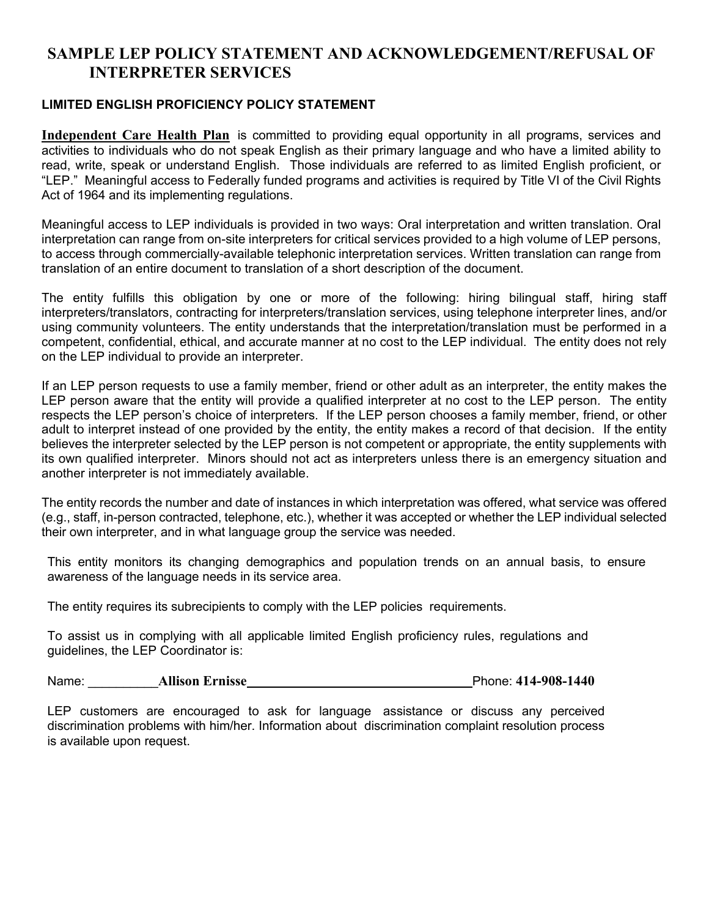## **SAMPLE LEP POLICY STATEMENT AND ACKNOWLEDGEMENT/REFUSAL OF INTERPRETER SERVICES**

## **LIMITED ENGLISH PROFICIENCY POLICY STATEMENT**

**Independent Care Health Plan** is committed to providing equal opportunity in all programs, services and activities to individuals who do not speak English as their primary language and who have a limited ability to read, write, speak or understand English. Those individuals are referred to as limited English proficient, or "LEP." Meaningful access to Federally funded programs and activities is required by Title VI of the Civil Rights Act of 1964 and its implementing regulations.

Meaningful access to LEP individuals is provided in two ways: Oral interpretation and written translation. Oral interpretation can range from on-site interpreters for critical services provided to a high volume of LEP persons, to access through commercially-available telephonic interpretation services. Written translation can range from translation of an entire document to translation of a short description of the document.

The entity fulfills this obligation by one or more of the following: hiring bilingual staff, hiring staff interpreters/translators, contracting for interpreters/translation services, using telephone interpreter lines, and/or using community volunteers. The entity understands that the interpretation/translation must be performed in a competent, confidential, ethical, and accurate manner at no cost to the LEP individual. The entity does not rely on the LEP individual to provide an interpreter.

If an LEP person requests to use a family member, friend or other adult as an interpreter, the entity makes the LEP person aware that the entity will provide a qualified interpreter at no cost to the LEP person. The entity respects the LEP person's choice of interpreters. If the LEP person chooses a family member, friend, or other adult to interpret instead of one provided by the entity, the entity makes a record of that decision. If the entity believes the interpreter selected by the LEP person is not competent or appropriate, the entity supplements with its own qualified interpreter. Minors should not act as interpreters unless there is an emergency situation and another interpreter is not immediately available.

The entity records the number and date of instances in which interpretation was offered, what service was offered (e.g., staff, in-person contracted, telephone, etc.), whether it was accepted or whether the LEP individual selected their own interpreter, and in what language group the service was needed.

This entity monitors its changing demographics and population trends on an annual basis, to ensure awareness of the language needs in its service area.

The entity requires its subrecipients to comply with the LEP policies requirements.

To assist us in complying with all applicable limited English proficiency rules, regulations and guidelines, the LEP Coordinator is:

Name: \_\_\_\_\_\_\_\_\_\_**Allison Ernisse** Phone: **414-908-1440**

LEP customers are encouraged to ask for language assistance or discuss any perceived discrimination problems with him/her. Information about discrimination complaint resolution process is available upon request.